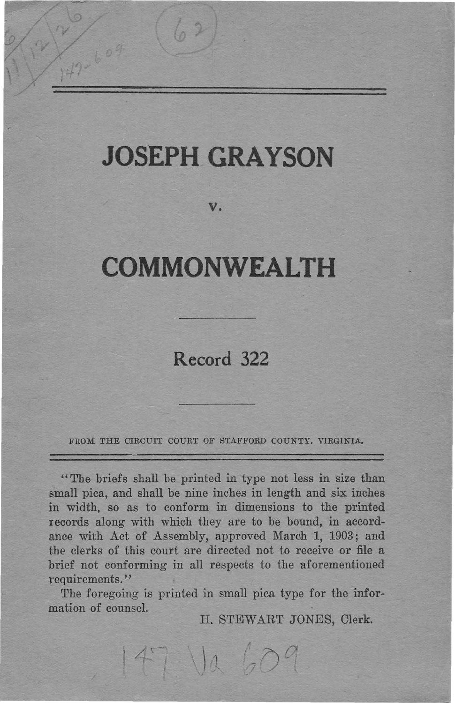# **JOSEPH GRAYSON**

62

**v.** 

//

*v* " *;<*  $(147)$ 

# **COMMONWEALTH**

**Record 322** 

FROM THE CIRCUIT COURT OF STAFFORD COUNTY. VIRGINIA.

"The briefs shall be printed in type not less in size than small pica, and shall be nine inches in length and six inches in width, so as to conform in dimensions to the printed records along with which they are to be bound, in accordance with Act of Assembly, approved March 1, 1903; and the clerks of this court are directed not to receive or file a brief not conforming in all respects to the aforementioned requirements."

The foregoing is printed in small pica type for the information of counsel.

 $147$  Va 609

H. STEWART JONES, Clerk.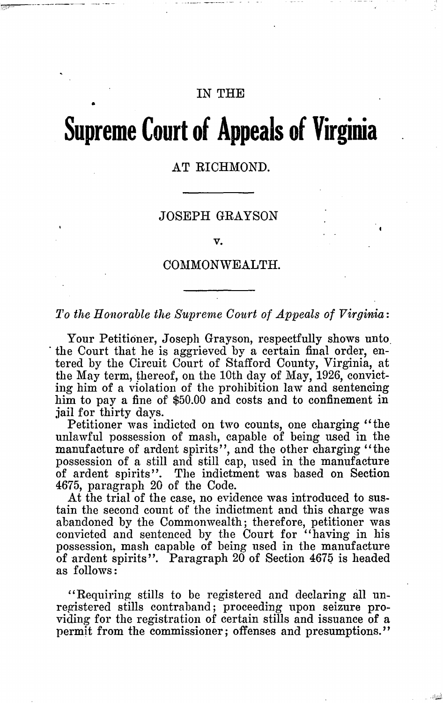## IN THE

•

# **Supreme Court of Appeals of Virginia**

#### AT RICHMOND.

## JOSEPH GRAYSON

v.

#### COMMONWEALTH.

*To the Honorable the Supreme Court of Appeals of Virginia:* 

Your Petitioner, Joseph Grayson, respectfully shows unto. the Court that he is aggrieved by a certain final order, entered by the Circuit Court of Stafford County, Virginia, at the May term, thereof, on the 10th day of May, 1926, convicting him of a violation of the prohibition law and sentencing him to pay a fine of \$50.00 and costs and to confinement in jail for thirty days.

Petitioner was indicted on two counts, one charging ''the unlawful possession of mash, capable of being used in the manufacture of ardent spirits", and the other charging "the possession of a still and still cap, used in the manufacture of ardent spirits''. The indictment was based on Section 4675, paragraph 20 of the Code.

At the trial of the case, no evidence was introduced to sustain the second count of the indictment and this charge was abandoned by the Commonwealth; therefore, petitioner was convicted and sentenced by the Court for "having in his possession, mash capable of being used in the manufacture of ardent spirits". Paragraph  $20$  of Section 4675 is headed as follows:

"Requiring stills to be registered and declaring all unregistered stills contraband; proceeding upon seizure providing for the registration of certain stills and issuance of a permit from the commissioner; offenses and presumptions."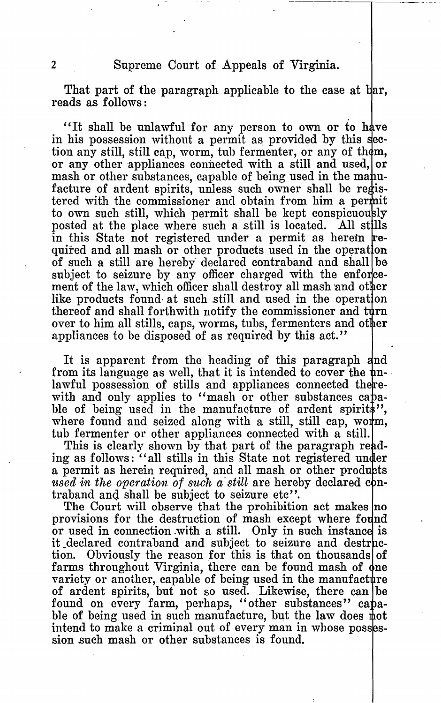That part of the paragraph applicable to the case at bar, reads as follows:

"It shall be unlawful for any person to own or to have in his possession without a permit as provided by this section any still, still cap, worm, tub fermenter, or any of them, or any other appliances connected with a still and used, or mash or other substances, capable of being used in the manufacture of ardent spirits, unless such owner shall be registered with the commissioner and obtain from him a permit to own such still, which permit shall be kept conspicuously posted at the place where such a still is located. All stills in this State not registered under a permit as herein required and all mash or other products used in the operation of such a still are hereby declared contraband and shall be subject to seizure by any officer charged with the enforcement of the law, which officer shall destroy all mash and other like products found at such still and used in the operation thereof and shall forthwith notify the commissioner and turn over to him all stills, caps, worms, tubs, fermenters and other appliances to be disposed of as required by this act."

It is apparent from the heading of this paragraph and from its language as well, that it is intended to cover the  $\mu$ lawful possession of stills and appliances connected the rewith and only applies to "mash or other substances capable of being used in the manufacture of ardent spirits", where found and seized along with a still, still cap, worm, tub fermenter or other appliances connected with a still.

This is clearly shown by that part of the paragraph reading as follows: "all stills in this State not registered under a permit as herein required, and all mash or other products *used in the operation of such a still are hereby declared con*traband and shall be subject to seizure etc".

The Court will observe that the prohibition act makes no provisions for the destruction of mash except where found or used in connection with a still. Only in such instance is it declared contraband and subject to seizure and destruction. Obviously the reason for this is that on thousands of farms throughout Virginia, there can be found mash of one variety or another, capable of being used in the manufacture of ardent spirits, but not so used. Likewise, there can be found on every farm, perhaps, "other substances" capable of being used in such manufacture, but the law does  $\frac{1}{4}$ intend to make a criminal out of every man in whose possession such mash or other substances is found.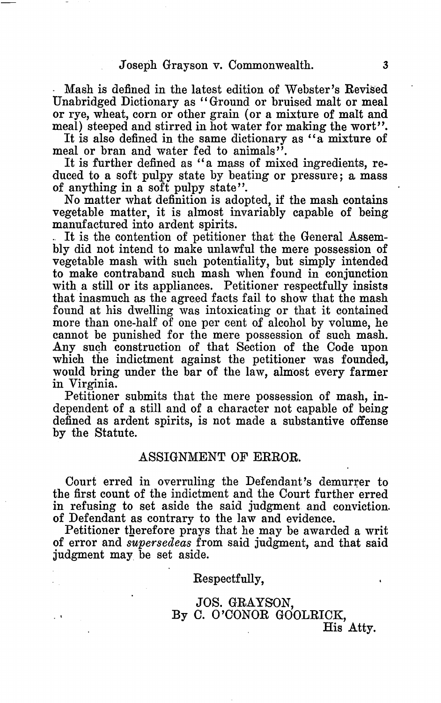Mash is defined in the latest edition of Webster's Revised Unabridged Dictionary as "Ground or bruised malt or meal or rye, wheat, corn or other grain (or a mixture of malt and meal) steeped and stirred in hot water for making the wort".

It is also defined in the same dictionary as "a mixture of meal or bran and water fed to animals".

It is further defined as ''a mass of mixed ingredients, reduced to a soft- pulpy state by beating or pressure; a mass of anything in a soft pulpy state".

No matter what definition is adopted, if the mash contains vegetable matter, it is almost invariably capable of being

It is the contention of petitioner that the General Assembly did not intend to make unlawful the mere possession of vegetable mash with such potentiality, but simply intended to make contraband such mash when found in conjunction with a still or its appliances. Petitioner respectfully insists that inasmuch as the agreed facts fail to show that the mash found at his dwelling was intoxicating or that it contained more than one-half of one per cent of alcohol by volume, he cannot be punished for the mere possession of such mash. Any such construction of that Section of the Code upon which the indictment against the petitioner was founded, would bring under the bar of the law, almost every farmer in Virginia.

Petitioner submits that the mere possession of mash, independent of a still and of a character not capable of being defined as ardent spirits, is not made a substantive offense by the Statute.

#### ASSIGNMENT OF ERROR.

Court erred in overruling the Defendant's demurrer to the first count of the indictment and the Court further erred in refusing to set aside the said judgment and conviction. of Defendant as contrary to the law and evidence.

Petitioner therefore prays that he may be awarded a writ of error and *supersedeas* from said judgment, and that said judgment may be set aside.

Respectfully,

JOS. GRAYSON, By C. O'CONOR GOOLRICK, His Atty.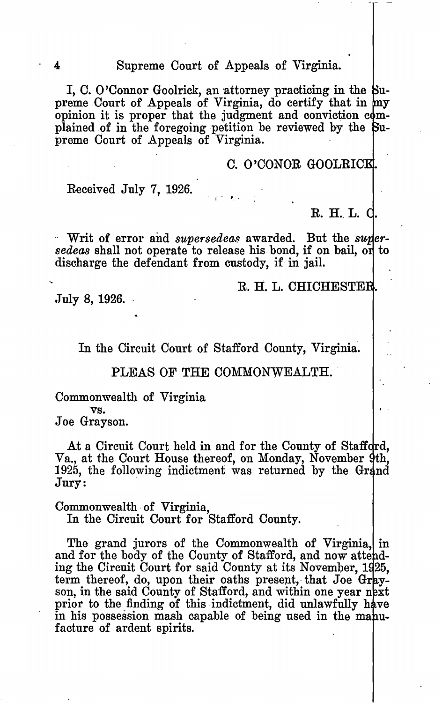# 4 Supreme Court of Appeals of Virginia.

I, C. O'Connor Goolrick, an attorney practicing in the Supreme Court of Appeals of Virginia, do certify that in my opinion it is proper that the judgment and conviction complained of in the foregoing petition be reviewed by the Supreme Court of Appeals of Virginia.

# C. O'CONOR GOOLRICK.

Received July 7, 1926.

## R. H. L. C.

• Writ of error and supersedeas awarded. But the supersedeas shall not operate to release his bond, if on bail, on to discharge the defendant from custody, if in jail.

R. H. L. CHICHESTER.<br>
July 8, 1926.

In the Circuit Court of Stafford County, Virginia.

#### PLEAS OF THE COMMONWEALTH.

Commonwealth of Virginia

vs.

Joe Grayson.

At a Circuit Court held in and for the County of Staffdrd, Va., at the Court House thereof, on Monday, November 9th, 1925, the following indictment was returned by the Grand Jury: ·

#### Commonwealth of Virginia.

In the Circuit Court for Stafford County.

The grand jurors of the Commonwealth of Virginia, in and for the body of the County of Stafford, and now attending the Circuit Court for said County at its November, 1925, term thereof, do, upon their oaths present, that Joe Grayson, in the said County of Stafford, and within one year next prior to the finding of this indictment, did unlawfully have in his possession mash capable of being used in the manu-<br>facture of ardent spirits.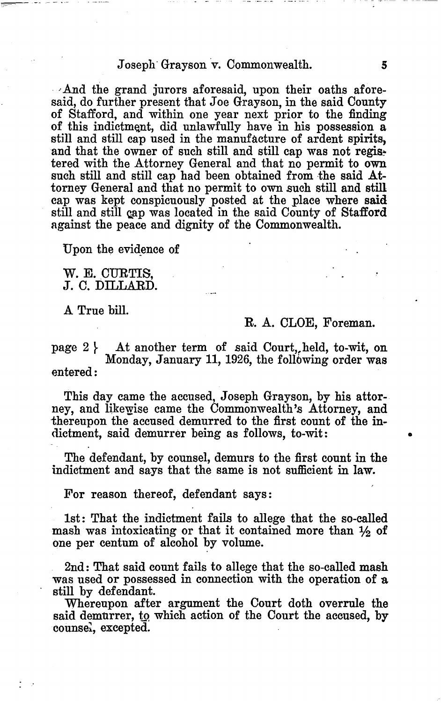#### Joseph Grayson v. Commonwealth. 5

 $\sim$  and  $\sim$  2000 and 2000 and 2000 and 2000 and 2000 and 2000 and 2000 and 2000 and 2000 and 2000 and 2000 and 2000 and 2000 and 2000 and 2000 and 2000 and 2000 and 2000 and 2000 and 2000 and 2000 and 2000 and 2000 and

------

 $\sim$  And the grand jurors aforesaid, upon their oaths aforesaid, do further present that Joe Grayson, in the said County of Stafford, and within one year next prior to the finding of this indictment, did unlawfully have in his possession a still and still cap used in the manufacture of ardent spirits, and that the owner of such still and still cap was not registered with the Attorney General and that no permit to own such still and still cap had been obtained from the said Attorney General and that no permit to own such still and still cap was kept conspicuously posted at the place where said still and still cap was located in the said County of Stafford against the peace and dignity of the Commonwealth.

Upon the evidence of

W. E. CURTIS, J. C. DILLARD.

A True bill.

#### R. A. CLOE, Foreman.

page  $2$   $\}$  At another term of said Court, held, to-wit, on Monday, January 11, 1926, the following order was entered:

This day came the accused, Joseph Grayson, by his attorney, and likewise came the Commonwealth's Attorney, and thereupon the accused demurred to the first count of the indictment, said demurrer being as follows, to-wit: •

The defendant, by counsel, demurs to the first count in the indictment and says that the same is not sufficient in law.

For reason thereof, defendant says :

1st: That the indictment fails to allege that the so-called mash was intoxicating or that it contained more than  $\frac{1}{2}$  of one per centum of alcohol by volume.

2nd: That said count fails to allege that the so-called mash was used or possessed in connection with the operation of a still by defendant.

Whereupon after argument the Court doth overrule the said demurrer, to which action of the Court the accused. by counsel, excepted.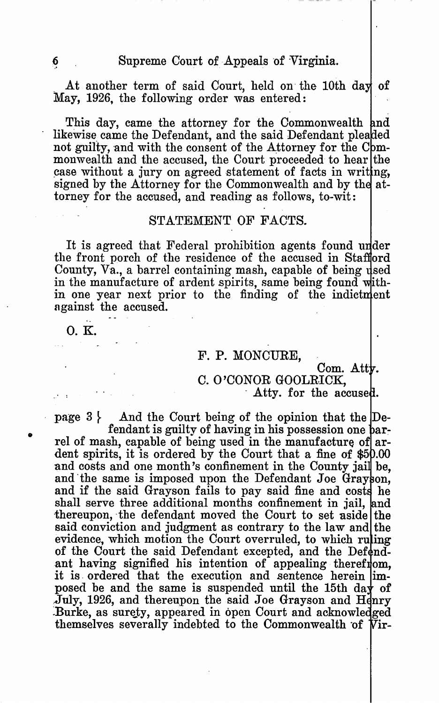At another term of said Court, held on the 10th day of May, 1926, the following order was entered:

This day, came the attorney for the Commonwealth and likewise came the Defendant, and the said Defendant pleaded not guilty, and with the consent of the Attorney for the Commonwealth and the accused, the Court proceeded to hear the case without a jury on agreed statement of facts in writing, signed by the Attorney for the Commonwealth and by the attorney for the accused, and reading as follows, to-wit:

## STATEMENT OF FACTS.

It is agreed that Federal prohibition agents found under the front porch of the residence of the accused in Stafford County,  $Va$ , a barrel containing mash, capable of being used in the manufacture of ardent spirits, same being found in one year next prior to the finding of the indictment ngainst the accused.

0. K.

#### F. P. MONCURE,

# $Com.$  Att $\star$ . C. O'CONOR GOOLRICK, <br>Atty. for the accused.

•

page  $3$   $\}$  And the Court being of the opinion that the De-

fendant is guilty of having in his possession one parrel of mash, capable of being used in the manufacture of ardent spirits, it is ordered by the Court that a fine of \$50.00 and costs and one month's confinement in the County jail be. and the same is imposed upon the Defendant Joe Grayson, and if the said Grayson fails to pay said fine and costs he shall serve three additional months confinement in jail, and thereupon, the defendant moved the Court to set aside the said conviction and judgment as contrary to the law and the evidence, which motion the Court overruled, to which ruing of the Court the said Defendant excepted, and the Defendant having signified his intention of appealing therefrom, it is. ordered that the execution and sentence herein imposed be and the same is suspended until the 15th day of July, 1926, and thereupon the said Joe Grayson and Henry Burke, as surety, appeared in open Court and acknowledged themselves severally indebted to the Commonwealth of  $\overline{\text{Vir}}$ -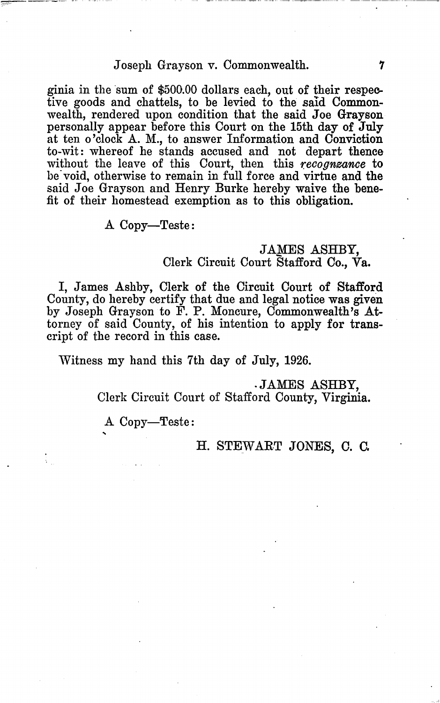## Joseph Grayson v. Commonwealth. *7*

ginia in the sum of \$500.00 dollars each, out of their respective goods and chattels, to be levied to the said Commonwealth, rendered upon condition that the said Joe Grayson personally appear before this Court on the 15th day of July at ten o'clock A. M., to answer Information and Conviction to-wit: whereof he stands accused and not depart thence without the leave of this Court, then this *recognzance* to be void, otherwise to remain in full force and virtue and the said Joe Grayson and Henry Burke hereby waive the benefit of their homestead exemption as to this obligation.

A Copy-Teste:

............ ,--.- .. ------- --. --------

# JAMES ASHBY. Clerk Circuit Court Stafford Oo., Va.

I, James Ashby, Clerk of the Circuit Court of Stafford County, do hereby certify that due and legal notice was given by Joseph Grayson to F. P. Moncure, Commonwealth's Attorney of said County, of his intention to apply for transcript of the record in this case.

Witness my hand this 7th day of July, 1926.

. JAMES ASHBY, Clerk Circuit Court of Stafford County, Virginia.

A Copy-Teste:

# H. STEWART JONES, C. C.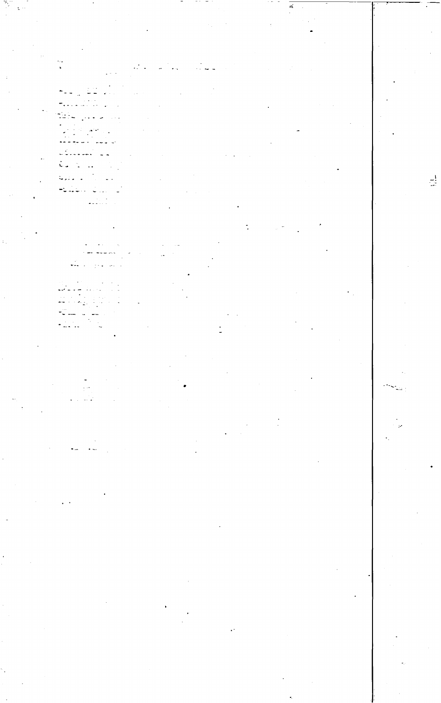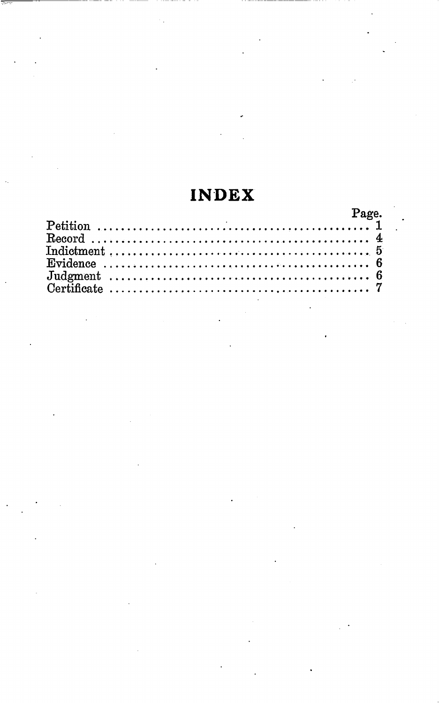# **INDEX**